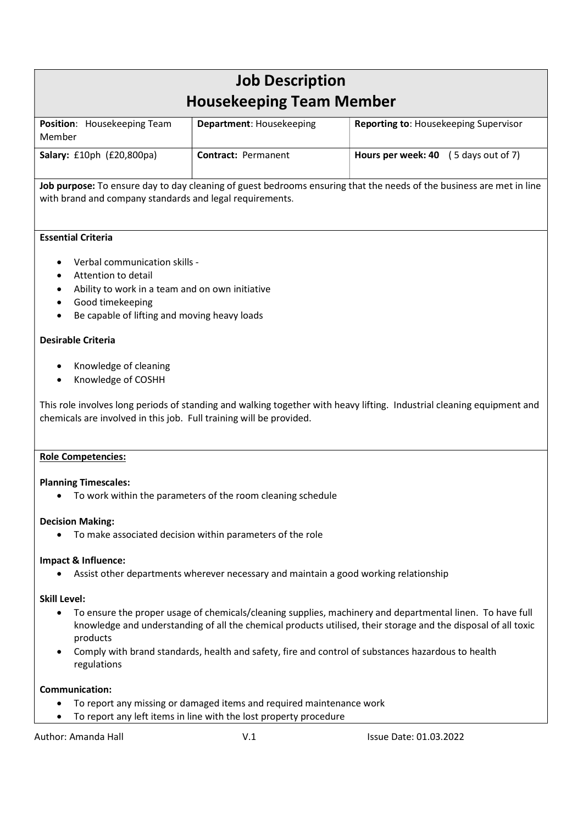| <b>Job Description</b><br><b>Housekeeping Team Member</b> |                                 |                                              |
|-----------------------------------------------------------|---------------------------------|----------------------------------------------|
| Position: Housekeeping Team<br>Member                     | <b>Department: Housekeeping</b> | <b>Reporting to: Housekeeping Supervisor</b> |
| Salary: £10ph (£20,800pa)                                 | <b>Contract: Permanent</b>      | <b>Hours per week: 40</b> (5 days out of 7)  |

Job purpose: To ensure day to day cleaning of guest bedrooms ensuring that the needs of the business are met in line with brand and company standards and legal requirements.

## Essential Criteria

- Verbal communication skills -
- Attention to detail
- Ability to work in a team and on own initiative
- Good timekeeping
- Be capable of lifting and moving heavy loads

## Desirable Criteria

- Knowledge of cleaning
- Knowledge of COSHH

This role involves long periods of standing and walking together with heavy lifting. Industrial cleaning equipment and chemicals are involved in this job. Full training will be provided.

## Role Competencies:

#### Planning Timescales:

To work within the parameters of the room cleaning schedule

## Decision Making:

To make associated decision within parameters of the role

#### Impact & Influence:

Assist other departments wherever necessary and maintain a good working relationship

## Skill Level:

- To ensure the proper usage of chemicals/cleaning supplies, machinery and departmental linen. To have full knowledge and understanding of all the chemical products utilised, their storage and the disposal of all toxic products
- Comply with brand standards, health and safety, fire and control of substances hazardous to health regulations

## Communication:

- To report any missing or damaged items and required maintenance work
- To report any left items in line with the lost property procedure